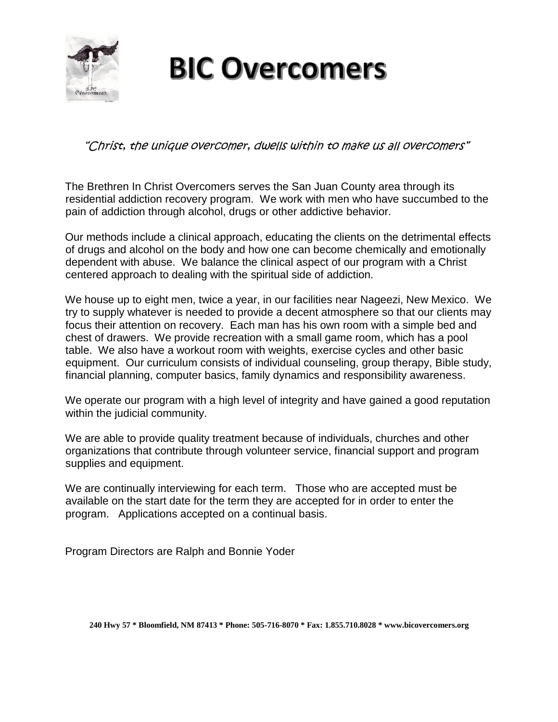

# **BIC Overcomers**

"Christ, the unique overcomer, dwells within to make us all overcomers"

The Brethren In Christ Overcomers serves the San Juan County area through its residential addiction recovery program. We work with men who have succumbed to the pain of addiction through alcohol, drugs or other addictive behavior.

Our methods include a clinical approach, educating the clients on the detrimental effects of drugs and alcohol on the body and how one can become chemically and emotionally dependent with abuse. We balance the clinical aspect of our program with a Christ centered approach to dealing with the spiritual side of addiction.

We house up to eight men, twice a year, in our facilities near Nageezi, New Mexico. We try to supply whatever is needed to provide a decent atmosphere so that our clients may focus their attention on recovery. Each man has his own room with a simple bed and chest of drawers. We provide recreation with a small game room, which has a pool table. We also have a workout room with weights, exercise cycles and other basic equipment. Our curriculum consists of individual counseling, group therapy, Bible study, financial planning, computer basics, family dynamics and responsibility awareness.

We operate our program with a high level of integrity and have gained a good reputation within the judicial community.

We are able to provide quality treatment because of individuals, churches and other organizations that contribute through volunteer service, financial support and program supplies and equipment.

We are continually interviewing for each term. Those who are accepted must be available on the start date for the term they are accepted for in order to enter the program. Applications accepted on a continual basis.

Program Directors are Ralph and Bonnie Yoder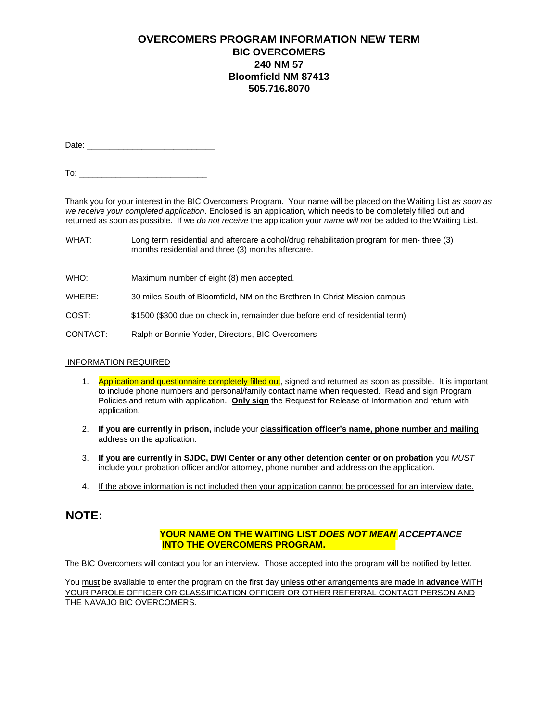## **OVERCOMERS PROGRAM INFORMATION NEW TERM BIC OVERCOMERS 240 NM 57 Bloomfield NM 87413 505.716.8070**

Date: \_\_\_\_\_\_\_\_\_\_\_\_\_\_\_\_\_\_\_\_\_\_\_\_\_\_\_\_

To:  $\overline{\phantom{a}}$ 

Thank you for your interest in the BIC Overcomers Program. Your name will be placed on the Waiting List *as soon as we receive your completed application*. Enclosed is an application, which needs to be completely filled out and returned as soon as possible. If we *do not receive* the application your *name will not* be added to the Waiting List.

- WHAT: Long term residential and aftercare alcohol/drug rehabilitation program for men- three (3) months residential and three (3) months aftercare.
- WHO: Maximum number of eight (8) men accepted.
- WHERE: 30 miles South of Bloomfield, NM on the Brethren In Christ Mission campus
- COST: \$1500 (\$300 due on check in, remainder due before end of residential term)
- CONTACT: Ralph or Bonnie Yoder, Directors, BIC Overcomers

#### INFORMATION REQUIRED

- 1. Application and questionnaire completely filled out, signed and returned as soon as possible. It is important to include phone numbers and personal/family contact name when requested. Read and sign Program Policies and return with application. **Only sign** the Request for Release of Information and return with application.
- 2. **If you are currently in prison,** include your **classification officer's name, phone number** and **mailing**  address on the application.
- 3. **If you are currently in SJDC, DWI Center or any other detention center or on probation** you *MUST*  include your probation officer and/or attorney, phone number and address on the application.
- 4. If the above information is not included then your application cannot be processed for an interview date.

## **NOTE:**

#### **YOUR NAME ON THE WAITING LIST** *DOES NOT MEAN ACCEPTANCE* **INTO THE OVERCOMERS PROGRAM.**

The BIC Overcomers will contact you for an interview. Those accepted into the program will be notified by letter.

You must be available to enter the program on the first day unless other arrangements are made in advance WITH YOUR PAROLE OFFICER OR CLASSIFICATION OFFICER OR OTHER REFERRAL CONTACT PERSON AND THE NAVAJO BIC OVERCOMERS.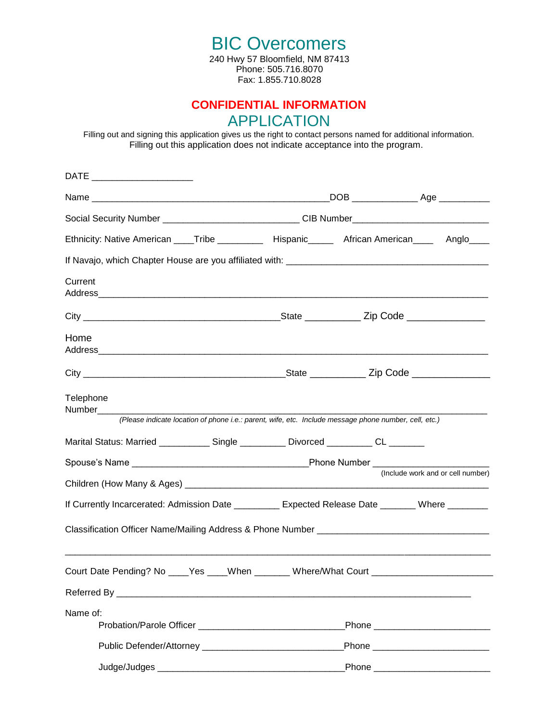BIC Overcomers 240 Hwy 57 Bloomfield, NM 87413 Phone: 505.716.8070 Fax: 1.855.710.8028

# **CONFIDENTIAL INFORMATION**  APPLICATION

Filling out and signing this application gives us the right to contact persons named for additional information. Filling out this application does not indicate acceptance into the program.

| DATE ________________________ |                                                                                                       |                                      |
|-------------------------------|-------------------------------------------------------------------------------------------------------|--------------------------------------|
|                               |                                                                                                       |                                      |
|                               | Social Security Number _____________________________CIB Number___________________                     |                                      |
|                               | Ethnicity: Native American ____Tribe ___________ Hispanic______ African American____ Anglo____        |                                      |
|                               |                                                                                                       |                                      |
| Current                       |                                                                                                       |                                      |
|                               |                                                                                                       |                                      |
| Home                          |                                                                                                       |                                      |
|                               |                                                                                                       |                                      |
| Telephone<br>Number__________ | (Please indicate location of phone i.e.: parent, wife, etc. Include message phone number, cell, etc.) |                                      |
|                               | Marital Status: Married _____________ Single ___________ Divorced __________ CL _______               |                                      |
|                               |                                                                                                       |                                      |
|                               |                                                                                                       | (Include work and or cell number)    |
|                               | If Currently Incarcerated: Admission Date _________ Expected Release Date _______ Where _______       |                                      |
|                               |                                                                                                       |                                      |
|                               | Court Date Pending? No ____Yes ____When _______ Where/What Court _______________________              |                                      |
|                               |                                                                                                       |                                      |
| Name of:                      |                                                                                                       |                                      |
|                               |                                                                                                       |                                      |
|                               |                                                                                                       | _Phone _____________________________ |
|                               |                                                                                                       | Phone ______________________________ |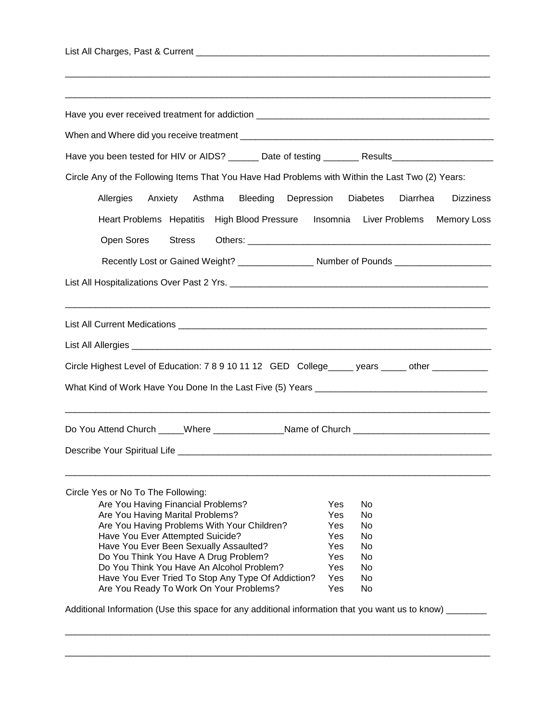| List All Charges, Past & Current |  |
|----------------------------------|--|
|                                  |  |

| Depression                                            |          | <b>Dizziness</b>                                                                                                                                                                                                                                                                                                                                                                                                                                                                                                      |
|-------------------------------------------------------|----------|-----------------------------------------------------------------------------------------------------------------------------------------------------------------------------------------------------------------------------------------------------------------------------------------------------------------------------------------------------------------------------------------------------------------------------------------------------------------------------------------------------------------------|
| Heart Problems Hepatitis High Blood Pressure Insomnia |          | <b>Memory Loss</b>                                                                                                                                                                                                                                                                                                                                                                                                                                                                                                    |
|                                                       |          |                                                                                                                                                                                                                                                                                                                                                                                                                                                                                                                       |
|                                                       |          |                                                                                                                                                                                                                                                                                                                                                                                                                                                                                                                       |
|                                                       |          |                                                                                                                                                                                                                                                                                                                                                                                                                                                                                                                       |
|                                                       |          |                                                                                                                                                                                                                                                                                                                                                                                                                                                                                                                       |
|                                                       |          |                                                                                                                                                                                                                                                                                                                                                                                                                                                                                                                       |
|                                                       |          |                                                                                                                                                                                                                                                                                                                                                                                                                                                                                                                       |
|                                                       |          |                                                                                                                                                                                                                                                                                                                                                                                                                                                                                                                       |
|                                                       |          |                                                                                                                                                                                                                                                                                                                                                                                                                                                                                                                       |
|                                                       |          |                                                                                                                                                                                                                                                                                                                                                                                                                                                                                                                       |
|                                                       |          |                                                                                                                                                                                                                                                                                                                                                                                                                                                                                                                       |
|                                                       |          |                                                                                                                                                                                                                                                                                                                                                                                                                                                                                                                       |
| Yes                                                   | No       |                                                                                                                                                                                                                                                                                                                                                                                                                                                                                                                       |
|                                                       | No       |                                                                                                                                                                                                                                                                                                                                                                                                                                                                                                                       |
| Yes                                                   |          |                                                                                                                                                                                                                                                                                                                                                                                                                                                                                                                       |
| Yes                                                   | No       |                                                                                                                                                                                                                                                                                                                                                                                                                                                                                                                       |
| Yes                                                   | No       |                                                                                                                                                                                                                                                                                                                                                                                                                                                                                                                       |
| Yes                                                   | No       |                                                                                                                                                                                                                                                                                                                                                                                                                                                                                                                       |
| Yes                                                   | No       |                                                                                                                                                                                                                                                                                                                                                                                                                                                                                                                       |
| Yes<br>Yes                                            | No<br>No |                                                                                                                                                                                                                                                                                                                                                                                                                                                                                                                       |
|                                                       |          | Have you been tested for HIV or AIDS? ______ Date of testing _______ Results_______________________<br>Circle Any of the Following Items That You Have Had Problems with Within the Last Two (2) Years:<br><b>Diabetes</b><br>Diarrhea<br>Liver Problems<br>Recently Lost or Gained Weight? Number of Pounds Number of Pounds<br>Circle Highest Level of Education: 7 8 9 10 11 12 GED College_____ years _____ other ___________<br>Do You Attend Church _____Where ________________Name of Church _________________ |

\_\_\_\_\_\_\_\_\_\_\_\_\_\_\_\_\_\_\_\_\_\_\_\_\_\_\_\_\_\_\_\_\_\_\_\_\_\_\_\_\_\_\_\_\_\_\_\_\_\_\_\_\_\_\_\_\_\_\_\_\_\_\_\_\_\_\_\_\_\_\_\_\_\_\_\_\_\_\_\_\_\_\_\_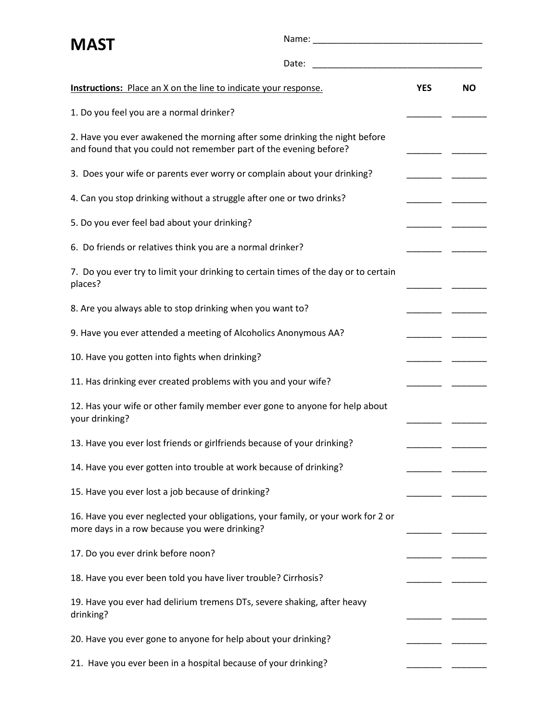| <b>MAST</b>                                                                                                                                     |       |            |           |
|-------------------------------------------------------------------------------------------------------------------------------------------------|-------|------------|-----------|
|                                                                                                                                                 | Date: |            |           |
| <b>Instructions:</b> Place an X on the line to indicate your response.                                                                          |       | <b>YES</b> | <b>NO</b> |
| 1. Do you feel you are a normal drinker?                                                                                                        |       |            |           |
| 2. Have you ever awakened the morning after some drinking the night before<br>and found that you could not remember part of the evening before? |       |            |           |
| 3. Does your wife or parents ever worry or complain about your drinking?                                                                        |       |            |           |
| 4. Can you stop drinking without a struggle after one or two drinks?                                                                            |       |            |           |
| 5. Do you ever feel bad about your drinking?                                                                                                    |       |            |           |
| 6. Do friends or relatives think you are a normal drinker?                                                                                      |       |            |           |
| 7. Do you ever try to limit your drinking to certain times of the day or to certain<br>places?                                                  |       |            |           |
| 8. Are you always able to stop drinking when you want to?                                                                                       |       |            |           |
| 9. Have you ever attended a meeting of Alcoholics Anonymous AA?                                                                                 |       |            |           |
| 10. Have you gotten into fights when drinking?                                                                                                  |       |            |           |
| 11. Has drinking ever created problems with you and your wife?                                                                                  |       |            |           |
| 12. Has your wife or other family member ever gone to anyone for help about<br>your drinking?                                                   |       |            |           |
| 13. Have you ever lost friends or girlfriends because of your drinking?                                                                         |       |            |           |
| 14. Have you ever gotten into trouble at work because of drinking?                                                                              |       |            |           |
| 15. Have you ever lost a job because of drinking?                                                                                               |       |            |           |
| 16. Have you ever neglected your obligations, your family, or your work for 2 or<br>more days in a row because you were drinking?               |       |            |           |
| 17. Do you ever drink before noon?                                                                                                              |       |            |           |
| 18. Have you ever been told you have liver trouble? Cirrhosis?                                                                                  |       |            |           |
| 19. Have you ever had delirium tremens DTs, severe shaking, after heavy<br>drinking?                                                            |       |            |           |
| 20. Have you ever gone to anyone for help about your drinking?                                                                                  |       |            |           |
| 21. Have you ever been in a hospital because of your drinking?                                                                                  |       |            |           |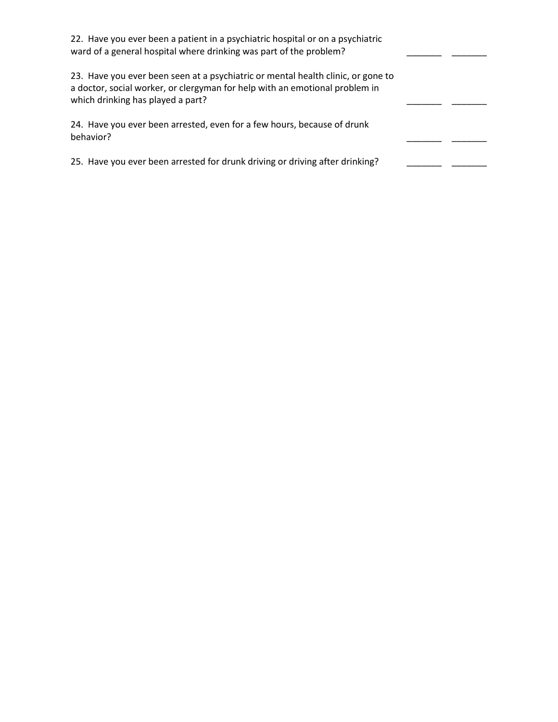| 22. Have you ever been a patient in a psychiatric hospital or on a psychiatric<br>ward of a general hospital where drinking was part of the problem?                                                 |  |
|------------------------------------------------------------------------------------------------------------------------------------------------------------------------------------------------------|--|
| 23. Have you ever been seen at a psychiatric or mental health clinic, or gone to<br>a doctor, social worker, or clergyman for help with an emotional problem in<br>which drinking has played a part? |  |
| 24. Have you ever been arrested, even for a few hours, because of drunk<br>behavior?                                                                                                                 |  |
| 25. Have you ever been arrested for drunk driving or driving after drinking?                                                                                                                         |  |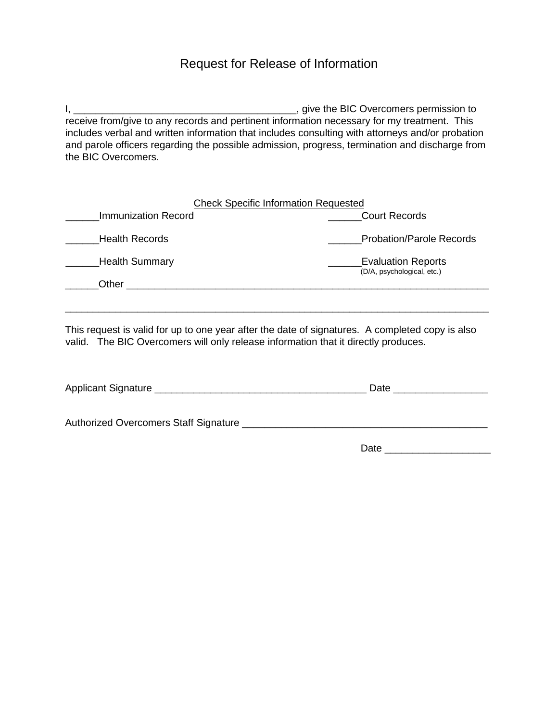## Request for Release of Information

I, \_\_\_\_\_\_\_\_\_\_\_\_\_\_\_\_\_\_\_\_\_\_\_\_\_\_\_\_\_\_\_\_\_\_\_\_\_\_\_\_, give the BIC Overcomers permission to receive from/give to any records and pertinent information necessary for my treatment. This includes verbal and written information that includes consulting with attorneys and/or probation and parole officers regarding the possible admission, progress, termination and discharge from the BIC Overcomers.

| <b>Check Specific Information Requested</b> |                                                         |
|---------------------------------------------|---------------------------------------------------------|
| Immunization Record                         | <b>Court Records</b>                                    |
| <b>Health Records</b>                       | <b>Probation/Parole Records</b>                         |
| Health Summary                              | <b>Evaluation Reports</b><br>(D/A, psychological, etc.) |
| Other                                       |                                                         |

This request is valid for up to one year after the date of signatures. A completed copy is also valid. The BIC Overcomers will only release information that it directly produces.

\_\_\_\_\_\_\_\_\_\_\_\_\_\_\_\_\_\_\_\_\_\_\_\_\_\_\_\_\_\_\_\_\_\_\_\_\_\_\_\_\_\_\_\_\_\_\_\_\_\_\_\_\_\_\_\_\_\_\_\_\_\_\_\_\_\_\_\_\_\_\_\_\_\_\_\_

| Applicant Signature                   | Date |
|---------------------------------------|------|
| Authorized Overcomers Staff Signature |      |
|                                       | Date |